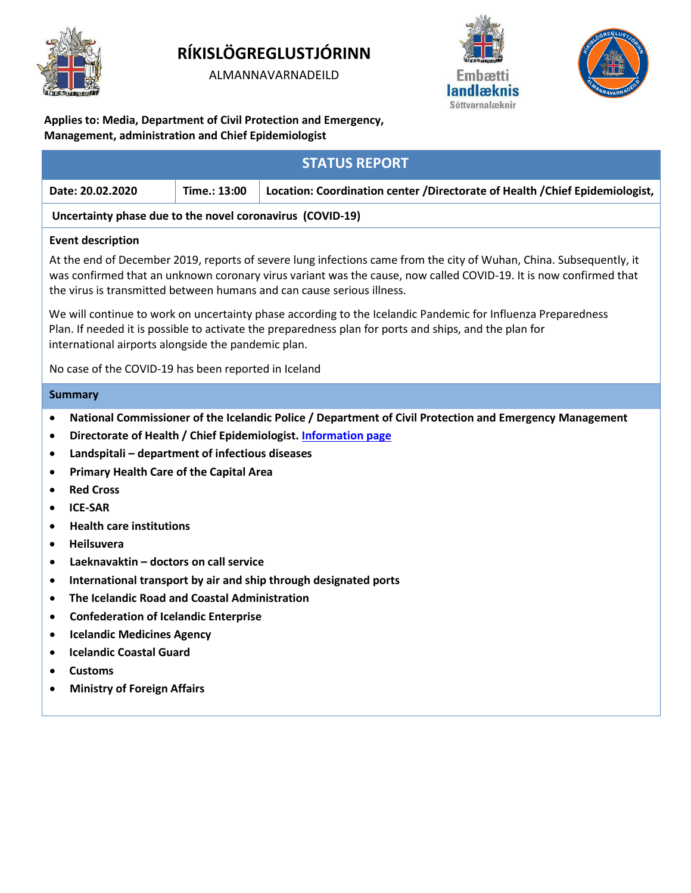

# **RÍKISLÖGREGLUSTJÓRINN**

ALMANNAVARNADEILD





**Applies to: Media, Department of Civil Protection and Emergency, Management, administration and Chief Epidemiologist**

| <b>STATUS REPORT</b>                                                                                                                                                                                                                                                                                                                                                                                                                                                                                                                                                                                                                                                                                                                                                                                                                                                                                                       |              |                                                                             |
|----------------------------------------------------------------------------------------------------------------------------------------------------------------------------------------------------------------------------------------------------------------------------------------------------------------------------------------------------------------------------------------------------------------------------------------------------------------------------------------------------------------------------------------------------------------------------------------------------------------------------------------------------------------------------------------------------------------------------------------------------------------------------------------------------------------------------------------------------------------------------------------------------------------------------|--------------|-----------------------------------------------------------------------------|
| Date: 20.02.2020                                                                                                                                                                                                                                                                                                                                                                                                                                                                                                                                                                                                                                                                                                                                                                                                                                                                                                           | Time.: 13:00 | Location: Coordination center /Directorate of Health /Chief Epidemiologist, |
| Uncertainty phase due to the novel coronavirus (COVID-19)                                                                                                                                                                                                                                                                                                                                                                                                                                                                                                                                                                                                                                                                                                                                                                                                                                                                  |              |                                                                             |
| <b>Event description</b><br>At the end of December 2019, reports of severe lung infections came from the city of Wuhan, China. Subsequently, it<br>was confirmed that an unknown coronary virus variant was the cause, now called COVID-19. It is now confirmed that<br>the virus is transmitted between humans and can cause serious illness.<br>We will continue to work on uncertainty phase according to the Icelandic Pandemic for Influenza Preparedness<br>Plan. If needed it is possible to activate the preparedness plan for ports and ships, and the plan for                                                                                                                                                                                                                                                                                                                                                   |              |                                                                             |
| international airports alongside the pandemic plan.<br>No case of the COVID-19 has been reported in Iceland                                                                                                                                                                                                                                                                                                                                                                                                                                                                                                                                                                                                                                                                                                                                                                                                                |              |                                                                             |
| <b>Summary</b>                                                                                                                                                                                                                                                                                                                                                                                                                                                                                                                                                                                                                                                                                                                                                                                                                                                                                                             |              |                                                                             |
| National Commissioner of the Icelandic Police / Department of Civil Protection and Emergency Management<br>$\bullet$<br>Directorate of Health / Chief Epidemiologist. Information page<br>$\bullet$<br>Landspitali - department of infectious diseases<br>$\bullet$<br><b>Primary Health Care of the Capital Area</b><br>$\bullet$<br><b>Red Cross</b><br>$\bullet$<br><b>ICE-SAR</b><br>$\bullet$<br><b>Health care institutions</b><br>$\bullet$<br><b>Heilsuvera</b><br>$\bullet$<br>Laeknavaktin - doctors on call service<br>$\bullet$<br>International transport by air and ship through designated ports<br>$\bullet$<br>The Icelandic Road and Coastal Administration<br>$\bullet$<br><b>Confederation of Icelandic Enterprise</b><br>$\bullet$<br><b>Icelandic Medicines Agency</b><br>$\bullet$<br><b>Icelandic Coastal Guard</b><br>٠<br><b>Customs</b><br>$\bullet$<br><b>Ministry of Foreign Affairs</b><br>٠ |              |                                                                             |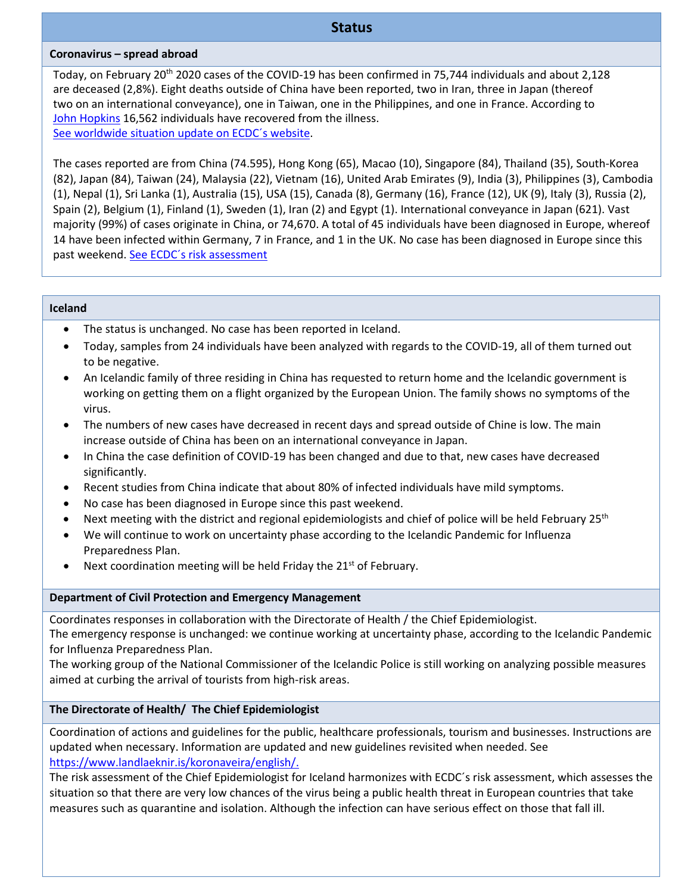## **Status**

#### **Coronavirus – spread abroad**

Today, on February 20<sup>th</sup> 2020 cases of the COVID-19 has been confirmed in 75,744 individuals and about 2,128 are deceased (2,8%). Eight deaths outside of China have been reported, two in Iran, three in Japan (thereof two on an international conveyance), one in Taiwan, one in the Philippines, and one in France. According to [John Hopkins](https://gisanddata.maps.arcgis.com/apps/opsdashboard/index.html#/bda7594740fd40299423467b48e9ecf6) 16,562 individuals have recovered from the illness. [See worldwide situation update on ECDC´s website.](https://www.ecdc.europa.eu/en/geographical-distribution-2019-ncov-cases)

The cases reported are from China (74.595), Hong Kong (65), Macao (10), Singapore (84), Thailand (35), South-Korea (82), Japan (84), Taiwan (24), Malaysia (22), Vietnam (16), United Arab Emirates (9), India (3), Philippines (3), Cambodia (1), Nepal (1), Sri Lanka (1), Australia (15), USA (15), Canada (8), Germany (16), France (12), UK (9), Italy (3), Russia (2), Spain (2), Belgium (1), Finland (1), Sweden (1), Iran (2) and Egypt (1). International conveyance in Japan (621). Vast majority (99%) of cases originate in China, or 74,670. A total of 45 individuals have been diagnosed in Europe, whereof 14 have been infected within Germany, 7 in France, and 1 in the UK. No case has been diagnosed in Europe since this past weekend. See ECDC's risk assessment

#### **Iceland**

- The status is unchanged. No case has been reported in Iceland.
- Today, samples from 24 individuals have been analyzed with regards to the COVID-19, all of them turned out to be negative.
- An Icelandic family of three residing in China has requested to return home and the Icelandic government is working on getting them on a flight organized by the European Union. The family shows no symptoms of the virus.
- The numbers of new cases have decreased in recent days and spread outside of Chine is low. The main increase outside of China has been on an international conveyance in Japan.
- In China the case definition of COVID-19 has been changed and due to that, new cases have decreased significantly.
- Recent studies from China indicate that about 80% of infected individuals have mild symptoms.
- No case has been diagnosed in Europe since this past weekend.
- Next meeting with the district and regional epidemiologists and chief of police will be held February 25<sup>th</sup>
- We will continue to work on uncertainty phase according to the Icelandic Pandemic for Influenza Preparedness Plan.
- Next coordination meeting will be held Friday the 21<sup>st</sup> of February.

#### **Department of Civil Protection and Emergency Management**

Coordinates responses in collaboration with the Directorate of Health / the Chief Epidemiologist.

The emergency response is unchanged: we continue working at uncertainty phase, according to the Icelandic Pandemic for Influenza Preparedness Plan.

The working group of the National Commissioner of the Icelandic Police is still working on analyzing possible measures aimed at curbing the arrival of tourists from high-risk areas.

## **The Directorate of Health/ The Chief Epidemiologist**

Coordination of actions and guidelines for the public, healthcare professionals, tourism and businesses. Instructions are updated when necessary. Information are updated and new guidelines revisited when needed. See [https://www.landlaeknir.is/koronaveira/english/.](https://www.landlaeknir.is/koronaveira/english/)

The risk assessment of the Chief Epidemiologist for Iceland harmonizes with ECDC´s risk assessment, which assesses the situation so that there are very low chances of the virus being a public health threat in European countries that take measures such as quarantine and isolation. Although the infection can have serious effect on those that fall ill.